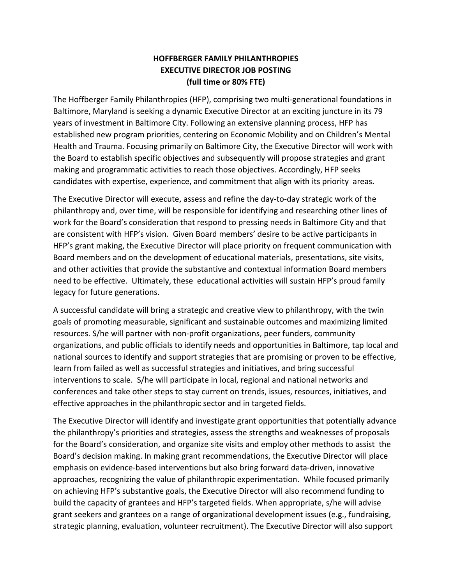## **HOFFBERGER FAMILY PHILANTHROPIES EXECUTIVE DIRECTOR JOB POSTING (full time or 80% FTE)**

The Hoffberger Family Philanthropies (HFP), comprising two multi-generational foundations in Baltimore, Maryland is seeking a dynamic Executive Director at an exciting juncture in its 79 years of investment in Baltimore City. Following an extensive planning process, HFP has established new program priorities, centering on Economic Mobility and on Children's Mental Health and Trauma. Focusing primarily on Baltimore City, the Executive Director will work with the Board to establish specific objectives and subsequently will propose strategies and grant making and programmatic activities to reach those objectives. Accordingly, HFP seeks candidates with expertise, experience, and commitment that align with its priority areas.

The Executive Director will execute, assess and refine the day-to-day strategic work of the philanthropy and, over time, will be responsible for identifying and researching other lines of work for the Board's consideration that respond to pressing needs in Baltimore City and that are consistent with HFP's vision. Given Board members' desire to be active participants in HFP's grant making, the Executive Director will place priority on frequent communication with Board members and on the development of educational materials, presentations, site visits, and other activities that provide the substantive and contextual information Board members need to be effective. Ultimately, these educational activities will sustain HFP's proud family legacy for future generations.

A successful candidate will bring a strategic and creative view to philanthropy, with the twin goals of promoting measurable, significant and sustainable outcomes and maximizing limited resources. S/he will partner with non-profit organizations, peer funders, community organizations, and public officials to identify needs and opportunities in Baltimore, tap local and national sources to identify and support strategies that are promising or proven to be effective, learn from failed as well as successful strategies and initiatives, and bring successful interventions to scale. S/he will participate in local, regional and national networks and conferences and take other steps to stay current on trends, issues, resources, initiatives, and effective approaches in the philanthropic sector and in targeted fields.

The Executive Director will identify and investigate grant opportunities that potentially advance the philanthropy's priorities and strategies, assess the strengths and weaknesses of proposals for the Board's consideration, and organize site visits and employ other methods to assist the Board's decision making. In making grant recommendations, the Executive Director will place emphasis on evidence-based interventions but also bring forward data-driven, innovative approaches, recognizing the value of philanthropic experimentation. While focused primarily on achieving HFP's substantive goals, the Executive Director will also recommend funding to build the capacity of grantees and HFP's targeted fields. When appropriate, s/he will advise grant seekers and grantees on a range of organizational development issues (e.g., fundraising, strategic planning, evaluation, volunteer recruitment). The Executive Director will also support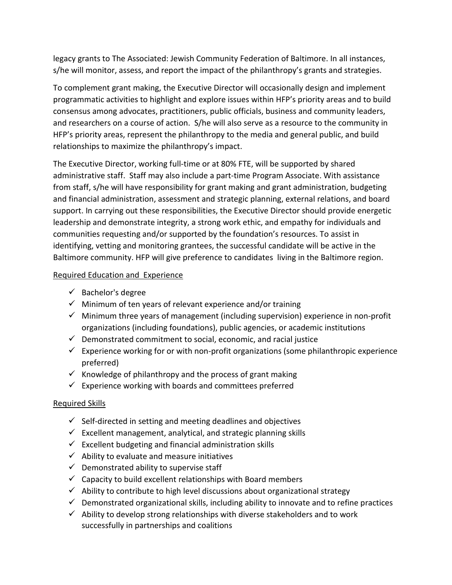legacy grants to The Associated: Jewish Community Federation of Baltimore. In all instances, s/he will monitor, assess, and report the impact of the philanthropy's grants and strategies.

To complement grant making, the Executive Director will occasionally design and implement programmatic activities to highlight and explore issues within HFP's priority areas and to build consensus among advocates, practitioners, public officials, business and community leaders, and researchers on a course of action. S/he will also serve as a resource to the community in HFP's priority areas, represent the philanthropy to the media and general public, and build relationships to maximize the philanthropy's impact.

The Executive Director, working full-time or at 80% FTE, will be supported by shared administrative staff. Staff may also include a part-time Program Associate. With assistance from staff, s/he will have responsibility for grant making and grant administration, budgeting and financial administration, assessment and strategic planning, external relations, and board support. In carrying out these responsibilities, the Executive Director should provide energetic leadership and demonstrate integrity, a strong work ethic, and empathy for individuals and communities requesting and/or supported by the foundation's resources. To assist in identifying, vetting and monitoring grantees, the successful candidate will be active in the Baltimore community. HFP will give preference to candidates living in the Baltimore region.

## Required Education and Experience

- $\checkmark$  Bachelor's degree
- $\checkmark$  Minimum of ten years of relevant experience and/or training
- $\checkmark$  Minimum three years of management (including supervision) experience in non-profit organizations (including foundations), public agencies, or academic institutions
- $\checkmark$  Demonstrated commitment to social, economic, and racial justice
- $\checkmark$  Experience working for or with non-profit organizations (some philanthropic experience preferred)
- $\checkmark$  Knowledge of philanthropy and the process of grant making
- $\checkmark$  Experience working with boards and committees preferred

## Required Skills

- $\checkmark$  Self-directed in setting and meeting deadlines and objectives
- $\checkmark$  Excellent management, analytical, and strategic planning skills
- $\checkmark$  Excellent budgeting and financial administration skills
- $\checkmark$  Ability to evaluate and measure initiatives
- $\checkmark$  Demonstrated ability to supervise staff
- $\checkmark$  Capacity to build excellent relationships with Board members
- $\checkmark$  Ability to contribute to high level discussions about organizational strategy
- $\checkmark$  Demonstrated organizational skills, including ability to innovate and to refine practices
- $\checkmark$  Ability to develop strong relationships with diverse stakeholders and to work successfully in partnerships and coalitions